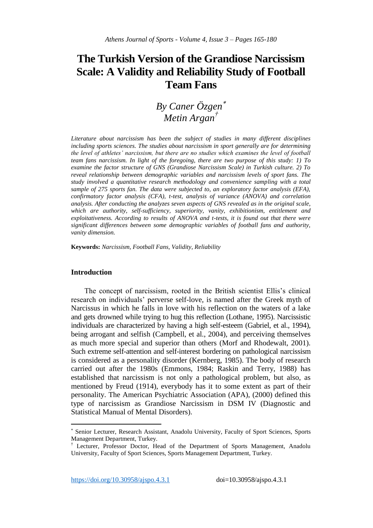# **The Turkish Version of the Grandiose Narcissism Scale: A Validity and Reliability Study of Football Team Fans**

## *By Caner Özgen Metin Argan†*

*Literature about narcissism has been the subject of studies in many different disciplines including sports sciences. The studies about narcissism in sport generally are for determining the level of athletes' narcissism, but there are no studies which examines the level of football team fans narcissism. In light of the foregoing, there are two purpose of this study: 1) To examine the factor structure of GNS (Grandiose Narcissism Scale) in Turkish culture. 2) To reveal relationship between demographic variables and narcissism levels of sport fans. The study involved a quantitative research methodology and convenience sampling with a total sample of 275 sports fan. The data were subjected to, an exploratory factor analysis (EFA), confirmatory factor analysis (CFA), t-test, analysis of variance (ANOVA) and correlation analysis. After conducting the analyzes seven aspects of GNS revealed as in the original scale, which are authority, self-sufficiency, superiority, vanity, exhibitionism, entitlement and exploitativeness. According to results of ANOVA and t-tests, it is found out that there were significant differences between some demographic variables of football fans and authority, vanity dimension.* 

**Keywords:** *Narcissism, Football Fans, Validity, Reliability*

## **Introduction**

 $\overline{\phantom{a}}$ 

The concept of narcissism, rooted in the British scientist Ellis's clinical research on individuals' perverse self-love, is named after the Greek myth of Narcissus in which he falls in love with his reflection on the waters of a lake and gets drowned while trying to hug this reflection (Lothane, 1995). Narcissistic individuals are characterized by having a high self-esteem (Gabriel, et al., 1994), being arrogant and selfish (Campbell, et al., 2004), and perceiving themselves as much more special and superior than others (Morf and Rhodewalt, 2001). Such extreme self-attention and self-interest bordering on pathological narcissism is considered as a personality disorder (Kernberg, 1985). The body of research carried out after the 1980s (Emmons, 1984; Raskin and Terry, 1988) has established that narcissism is not only a pathological problem, but also, as mentioned by Freud (1914), everybody has it to some extent as part of their personality. The American Psychiatric Association (APA), (2000) defined this type of narcissism as Grandiose Narcissism in DSM IV (Diagnostic and Statistical Manual of Mental Disorders).

https://doi.org/10.30958/ajspo.4.3.1 doi=10.30958/ajspo.4.3.1

<sup>×</sup> Senior Lecturer, Research Assistant, Anadolu University, Faculty of Sport Sciences, Sports Management Department, Turkey.

<sup>†</sup> Lecturer, Professor Doctor, Head of the Department of Sports Management, Anadolu University, Faculty of Sport Sciences, Sports Management Department, Turkey.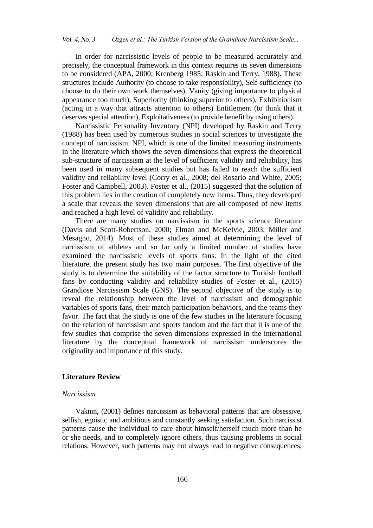In order for narcissistic levels of people to be measured accurately and precisely, the conceptual framework in this context requires its seven dimensions to be considered (APA, 2000; Krenberg 1985; Raskin and Terry, 1988). These structures include Authority (to choose to take responsibility), Self-sufficiency (to choose to do their own work themselves), Vanity (giving importance to physical appearance too much), Superiority (thinking superior to others), Exhibitionism (acting in a way that attracts attention to others) Entitlement (to think that it deserves special attention), Exploitativeness (to provide benefit by using others).

Narcissistic Personality Inventory (NPI) developed by Raskin and Terry (1988) has been used by numerous studies in social sciences to investigate the concept of narcissism. NPI, which is one of the limited measuring instruments in the literature which shows the seven dimensions that express the theoretical sub-structure of narcissism at the level of sufficient validity and reliability, has been used in many subsequent studies but has failed to reach the sufficient validity and reliability level (Corry et al., 2008; del Rosario and White, 2005; Foster and Campbell, 2003). Foster et al., (2015) suggested that the solution of this problem lies in the creation of completely new items. Thus, they developed a scale that reveals the seven dimensions that are all composed of new items and reached a high level of validity and reliability.

There are many studies on narcissism in the sports science literature (Davis and Scott-Robertson, 2000; Elman and McKelvie, 2003; Miller and Mesagno, 2014). Most of these studies aimed at determining the level of narcissism of athletes and so far only a limited number of studies have examined the narcissistic levels of sports fans. In the light of the cited literature, the present study has two main purposes. The first objective of the study is to determine the suitability of the factor structure to Turkish football fans by conducting validity and reliability studies of Foster et al., (2015) Grandiose Narcissism Scale (GNS). The second objective of the study is to reveal the relationship between the level of narcissism and demographic variables of sports fans, their match participation behaviors, and the teams they favor. The fact that the study is one of the few studies in the literature focusing on the relation of narcissism and sports fandom and the fact that it is one of the few studies that comprise the seven dimensions expressed in the international literature by the conceptual framework of narcissism underscores the originality and importance of this study.

## **Literature Review**

#### *Narcissism*

Vaknin, (2001) defines narcissism as behavioral patterns that are obsessive, selfish, egoistic and ambitious and constantly seeking satisfaction. Such narcissist patterns cause the individual to care about himself/herself much more than he or she needs, and to completely ignore others, thus causing problems in social relations. However, such patterns may not always lead to negative consequences;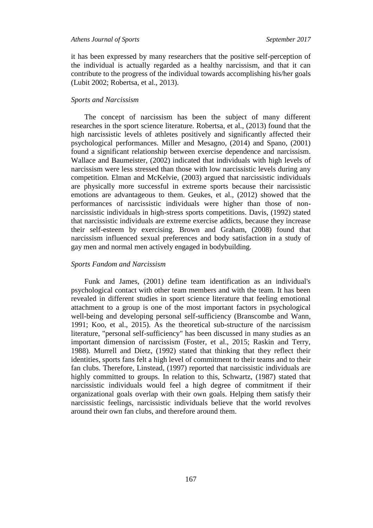it has been expressed by many researchers that the positive self-perception of the individual is actually regarded as a healthy narcissism, and that it can contribute to the progress of the individual towards accomplishing his/her goals (Lubit 2002; Robertsa, et al., 2013).

#### *Sports and Narcissism*

The concept of narcissism has been the subject of many different researches in the sport science literature. Robertsa, et al., (2013) found that the high narcissistic levels of athletes positively and significantly affected their psychological performances. Miller and Mesagno, (2014) and Spano, (2001) found a significant relationship between exercise dependence and narcissism. Wallace and Baumeister, (2002) indicated that individuals with high levels of narcissism were less stressed than those with low narcissistic levels during any competition. Elman and McKelvie, (2003) argued that narcissistic individuals are physically more successful in extreme sports because their narcissistic emotions are advantageous to them. Geukes, et al., (2012) showed that the performances of narcissistic individuals were higher than those of nonnarcissistic individuals in high-stress sports competitions. Davis, (1992) stated that narcissistic individuals are extreme exercise addicts, because they increase their self-esteem by exercising. Brown and Graham, (2008) found that narcissism influenced sexual preferences and body satisfaction in a study of gay men and normal men actively engaged in bodybuilding.

## *Sports Fandom and Narcissism*

Funk and James, (2001) define team identification as an individual's psychological contact with other team members and with the team. It has been revealed in different studies in sport science literature that feeling emotional attachment to a group is one of the most important factors in psychological well-being and developing personal self-sufficiency (Branscombe and Wann, 1991; Koo, et al., 2015). As the theoretical sub-structure of the narcissism literature, "personal self-sufficiency" has been discussed in many studies as an important dimension of narcissism (Foster, et al., 2015; Raskin and Terry, 1988). Murrell and Dietz, (1992) stated that thinking that they reflect their identities, sports fans felt a high level of commitment to their teams and to their fan clubs. Therefore, Linstead, (1997) reported that narcissistic individuals are highly committed to groups. In relation to this, Schwartz, (1987) stated that narcissistic individuals would feel a high degree of commitment if their organizational goals overlap with their own goals. Helping them satisfy their narcissistic feelings, narcissistic individuals believe that the world revolves around their own fan clubs, and therefore around them.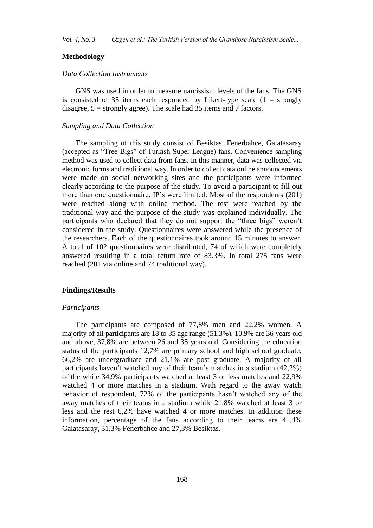## **Methodology**

## *Data Collection Instruments*

GNS was used in order to measure narcissism levels of the fans. The GNS is consisted of 35 items each responded by Likert-type scale  $(1 =$  strongly disagree,  $5 =$  strongly agree). The scale had 35 items and 7 factors.

#### *Sampling and Data Collection*

The sampling of this study consist of Besiktas, Fenerbahce, Galatasaray (accepted as "Tree Bigs" of Turkish Super League) fans. Convenience sampling method was used to collect data from fans. In this manner, data was collected via electronic forms and traditional way. In order to collect data online announcements were made on social networking sites and the participants were informed clearly according to the purpose of the study. To avoid a participant to fill out more than one questionnaire, IP's were limited. Most of the respondents (201) were reached along with online method. The rest were reached by the traditional way and the purpose of the study was explained individually. The participants who declared that they do not support the "three bigs" weren't considered in the study. Questionnaires were answered while the presence of the researchers. Each of the questionnaires took around 15 minutes to answer. A total of 102 questionnaires were distributed, 74 of which were completely answered resulting in a total return rate of 83.3%. In total 275 fans were reached (201 via online and 74 traditional way).

#### **Findings/Results**

#### *Participants*

The participants are composed of 77,8% men and 22,2% women. A majority of all participants are 18 to 35 age range (51,3%), 10,9% are 36 years old and above, 37,8% are between 26 and 35 years old. Considering the education status of the participants 12,7% are primary school and high school graduate, 66,2% are undergraduate and 21,1% are post graduate. A majority of all participants haven't watched any of their team's matches in a stadium (42,2%) of the while 34,9% participants watched at least 3 or less matches and 22,9% watched 4 or more matches in a stadium. With regard to the away watch behavior of respondent, 72% of the participants hasn't watched any of the away matches of their teams in a stadium while 21,8% watched at least 3 or less and the rest 6,2% have watched 4 or more matches. In addition these information, percentage of the fans according to their teams are 41,4% Galatasaray, 31,3% Fenerbahce and 27,3% Besiktas.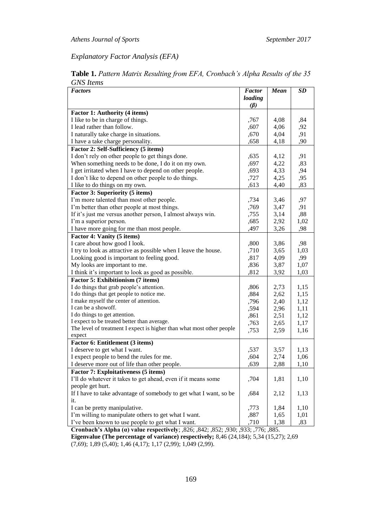*Explanatory Factor Analysis (EFA)*

| <i><u>UIVO Items</u></i><br><b>Factors</b>                            | <b>Factor</b> | <b>Mean</b> | <b>SD</b> |
|-----------------------------------------------------------------------|---------------|-------------|-----------|
|                                                                       | loading       |             |           |
|                                                                       | $(\beta)$     |             |           |
| Factor 1: Authority (4 items)                                         |               |             |           |
| I like to be in charge of things.                                     | ,767          | 4,08        | ,84       |
| I lead rather than follow.                                            | ,607          | 4,06        | ,92       |
| I naturally take charge in situations.                                | ,670          | 4,04        | ,91       |
| I have a take charge personality.                                     | ,658          | 4,18        | ,90       |
| Factor 2: Self-Sufficiency (5 items)                                  |               |             |           |
| I don't rely on other people to get things done.                      | ,635          | 4,12        | ,91       |
| When something needs to be done, I do it on my own.                   | ,697          | 4,22        | ,83       |
| I get irritated when I have to depend on other people.                | ,693          | 4,33        | ,94       |
| I don't like to depend on other people to do things.                  | ,727          | 4,25        | ,95       |
| I like to do things on my own.                                        | ,613          | 4,40        | ,83       |
| <b>Factor 3: Superiority (5 items)</b>                                |               |             |           |
| I'm more talented than most other people.                             | ,734          | 3,46        | ,97       |
| I'm better than other people at most things.                          | ,769          | 3,47        | ,91       |
| If it's just me versus another person, I almost always win.           | ,755          | 3,14        | ,88       |
| I'm a superior person.                                                | ,685          | 2,92        | 1,02      |
| I have more going for me than most people.                            | ,497          | 3,26        | ,98       |
| Factor 4: Vanity (5 items)                                            |               |             |           |
| I care about how good I look.                                         | ,800          | 3,86        | ,98       |
| I try to look as attractive as possible when I leave the house.       | ,710          | 3,65        | 1,03      |
| Looking good is important to feeling good.                            | ,817          | 4,09        | ,99       |
| My looks are important to me.                                         | ,836          | 3,87        | 1,07      |
| I think it's important to look as good as possible.                   | ,812          | 3,92        | 1,03      |
| Factor 5: Exhibitionism (7 items)                                     |               |             |           |
| I do things that grab people's attention.                             | ,806          | 2,73        | 1,15      |
| I do things that get people to notice me.                             | ,884          | 2,62        | 1,15      |
| I make myself the center of attention.                                | ,796          | 2,40        | 1,12      |
| I can be a showoff.                                                   | ,594          | 2,96        | 1,11      |
| I do things to get attention.                                         | ,861          | 2,51        | 1,12      |
| I expect to be treated better than average.                           | ,763          | 2,65        | 1,17      |
| The level of treatment I expect is higher than what most other people | ,753          | 2,59        | 1,16      |
| expect                                                                |               |             |           |
| Factor 6: Entitlement (3 items)                                       |               |             |           |
| I deserve to get what I want.                                         | ,537          | 3,57        | 1,13      |
| I expect people to bend the rules for me.                             | ,604          | 2,74        | 1,06      |
| I deserve more out of life than other people.                         | ,639          | 2,88        | 1,10      |
| <b>Factor 7: Exploitativeness (5 items)</b>                           |               |             |           |
| I'll do whatever it takes to get ahead, even if it means some         | ,704          | 1,81        | 1,10      |
| people get hurt.                                                      |               |             |           |
| If I have to take advantage of somebody to get what I want, so be     | ,684          | 2,12        | 1,13      |
| it.                                                                   |               |             |           |
| I can be pretty manipulative.                                         | ,773          | 1,84        | 1,10      |
| I'm willing to manipulate others to get what I want.                  | ,887          | 1,65        | 1,01      |
| I've been known to use people to get what I want.                     | ,710          | 1,38        | ,83       |

**Table 1.** *Pattern Matrix Resulting from EFA, Cronbach's Alpha Results of the 35 GNS Items*

**Cronbach's Alpha (α) value respectively**; ,826; ,842; ,852; ,930; ,933; ,776; ,885. **Eigenvalue (The percentage of variance) respectively;** 8,46 (24,184); 5,34 (15,27); 2,69 (7,69); 1,89 (5,40); 1,46 (4,17); 1,17 (2,99); 1,049 (2,99).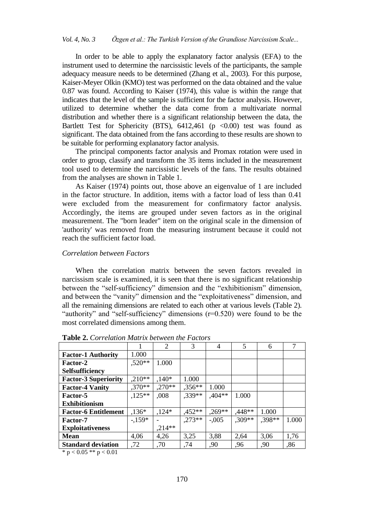In order to be able to apply the explanatory factor analysis (EFA) to the instrument used to determine the narcissistic levels of the participants, the sample adequacy measure needs to be determined (Zhang et al., 2003). For this purpose, Kaiser-Meyer Olkin (KMO) test was performed on the data obtained and the value 0.87 was found. According to Kaiser (1974), this value is within the range that indicates that the level of the sample is sufficient for the factor analysis. However, utilized to determine whether the data come from a multivariate normal distribution and whether there is a significant relationship between the data, the Bartlett Test for Sphericity (BTS),  $6412,461$  (p <0.00) test was found as significant. The data obtained from the fans according to these results are shown to be suitable for performing explanatory factor analysis.

The principal components factor analysis and Promax rotation were used in order to group, classify and transform the 35 items included in the measurement tool used to determine the narcissistic levels of the fans. The results obtained from the analyses are shown in Table 1.

As Kaiser (1974) points out, those above an eigenvalue of 1 are included in the factor structure. In addition, items with a factor load of less than 0.41 were excluded from the measurement for confirmatory factor analysis. Accordingly, the items are grouped under seven factors as in the original measurement. The "born leader" item on the original scale in the dimension of 'authority' was removed from the measuring instrument because it could not reach the sufficient factor load.

## *Correlation between Factors*

When the correlation matrix between the seven factors revealed in narcissism scale is examined, it is seen that there is no significant relationship between the "self-sufficiency" dimension and the "exhibitionism" dimension, and between the "vanity" dimension and the "exploitativeness" dimension, and all the remaining dimensions are related to each other at various levels (Table 2). "authority" and "self-sufficiency" dimensions (r=0.520) were found to be the most correlated dimensions among them.

|                             |          | 2         | 3        | 4         | 5        | 6      | $\mathcal{I}$ |
|-----------------------------|----------|-----------|----------|-----------|----------|--------|---------------|
| <b>Factor-1 Authority</b>   | 1.000    |           |          |           |          |        |               |
| Factor-2                    | $,520**$ | 1.000     |          |           |          |        |               |
| Selfsufficiency             |          |           |          |           |          |        |               |
| <b>Factor-3 Superiority</b> | $,210**$ | $,140*$   | 1.000    |           |          |        |               |
| <b>Factor-4 Vanity</b>      | $.370**$ | $0.270**$ | $,356**$ | 1.000     |          |        |               |
| Factor-5                    | $,125**$ | ,008      | $.339**$ | $,404**$  | 1.000    |        |               |
| <b>Exhibitionism</b>        |          |           |          |           |          |        |               |
| <b>Factor-6 Entitlement</b> | $,136*$  | $,124*$   | $,452**$ | $0.269**$ | ,448**   | 1.000  |               |
| <b>Factor-7</b>             | $-159*$  |           | $.273**$ | $-.005$   | $.309**$ | .398** | 1.000         |
| <b>Exploitativeness</b>     |          | $,214**$  |          |           |          |        |               |
| <b>Mean</b>                 | 4,06     | 4,26      | 3,25     | 3,88      | 2,64     | 3,06   | 1,76          |
| <b>Standard deviation</b>   | ,72      | .70       | ,74      | ,90       | ,96      | ,90    | ,86           |

**Table 2.** *Correlation Matrix between the Factors*

\* p < 0.05 \*\* p < 0.01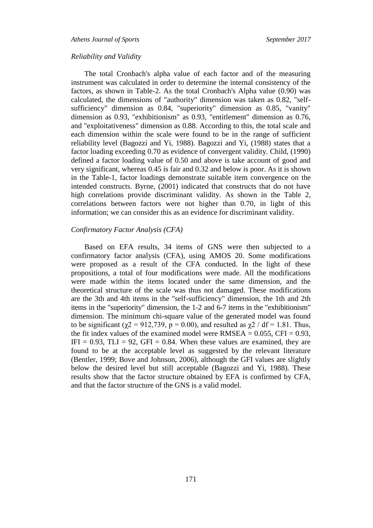*Athens Journal of Sports September 2017*

#### *Reliability and Validity*

The total Cronbach's alpha value of each factor and of the measuring instrument was calculated in order to determine the internal consistency of the factors, as shown in Table-2. As the total Cronbach's Alpha value (0.90) was calculated, the dimensions of "authority" dimension was taken as 0.82, "selfsufficiency" dimension as 0.84, "superiority" dimension as 0.85, "vanity" dimension as 0.93, "exhibitionism" as 0.93, "entitlement" dimension as 0.76, and "exploitativeness" dimension as 0.88. According to this, the total scale and each dimension within the scale were found to be in the range of sufficient reliability level (Bagozzi and Yi, 1988). Bagozzi and Yi, (1988) states that a factor loading exceeding 0.70 as evidence of convergent validity. Child, (1990) defined a factor loading value of 0.50 and above is take account of good and very significant, whereas 0.45 is fair and 0.32 and below is poor. As it is shown in the Table-1, factor loadings demonstrate suitable item convergence on the intended constructs. Byrne, (2001) indicated that constructs that do not have high correlations provide discriminant validity. As shown in the Table 2, correlations between factors were not higher than 0.70, in light of this information; we can consider this as an evidence for discriminant validity.

## *Confirmatory Factor Analysis (CFA)*

Based on EFA results, 34 items of GNS were then subjected to a confirmatory factor analysis (CFA), using AMOS 20. Some modifications were proposed as a result of the CFA conducted. In the light of these propositions, a total of four modifications were made. All the modifications were made within the items located under the same dimension, and the theoretical structure of the scale was thus not damaged. These modifications are the 3th and 4th items in the "self-sufficiency" dimension, the 1th and 2th items in the "superiority" dimension, the 1-2 and 6-7 items in the "exhibitionism" dimension. The minimum chi-square value of the generated model was found to be significant ( $\chi$ 2 = 912,739, p = 0.00), and resulted as  $\chi$ 2 / df = 1.81. Thus, the fit index values of the examined model were  $RMSEA = 0.055$ ,  $CFI = 0.93$ , IFI = 0.93, TLI = 92, GFI = 0.84. When these values are examined, they are found to be at the acceptable level as suggested by the relevant literature (Bentler, 1999; Bove and Johnson, 2006), although the GFI values are slightly below the desired level but still acceptable (Bagozzi and Yi, 1988). These results show that the factor structure obtained by EFA is confirmed by CFA, and that the factor structure of the GNS is a valid model.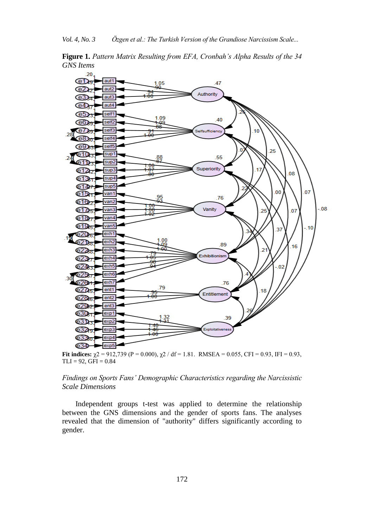**Figure 1.** *Pattern Matrix Resulting from EFA, Cronbah's Alpha Results of the 34 GNS Items*



**Fit indices:**  $\gamma$ 2 = 912,739 (P = 0.000),  $\gamma$ 2 / df = 1.81. RMSEA = 0.055, CFI = 0.93, IFI = 0.93,  $TLI = 92, GFI = 0.84$ 

## *Findings on Sports Fans' Demographic Characteristics regarding the Narcissistic Scale Dimensions*

Independent groups t-test was applied to determine the relationship between the GNS dimensions and the gender of sports fans. The analyses revealed that the dimension of "authority" differs significantly according to gender.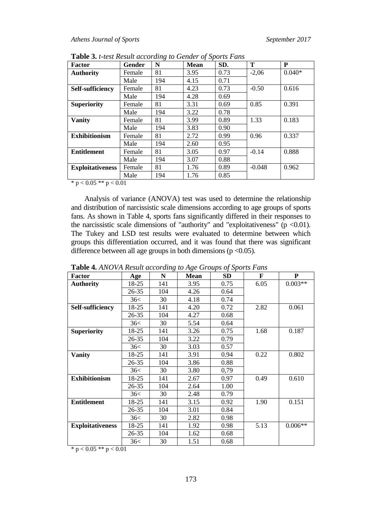| <b>Factor</b>           | Gender | N   | <b>Mean</b> | SD.  | Т        | P        |
|-------------------------|--------|-----|-------------|------|----------|----------|
| <b>Authority</b>        | Female | 81  | 3.95        | 0.73 | $-2,06$  | $0.040*$ |
|                         | Male   | 194 | 4.15        | 0.71 |          |          |
| Self-sufficiency        | Female | 81  | 4.23        | 0.73 | $-0.50$  | 0.616    |
|                         | Male   | 194 | 4.28        | 0.69 |          |          |
| <b>Superiority</b>      | Female | 81  | 3.31        | 0.69 | 0.85     | 0.391    |
|                         | Male   | 194 | 3.22        | 0.78 |          |          |
| <b>Vanity</b>           | Female | 81  | 3.99        | 0.89 | 1.33     | 0.183    |
|                         | Male   | 194 | 3.83        | 0.90 |          |          |
| <b>Exhibitionism</b>    | Female | 81  | 2.72        | 0.99 | 0.96     | 0.337    |
|                         | Male   | 194 | 2.60        | 0.95 |          |          |
| <b>Entitlement</b>      | Female | 81  | 3.05        | 0.97 | $-0.14$  | 0.888    |
|                         | Male   | 194 | 3.07        | 0.88 |          |          |
| <b>Exploitativeness</b> | Female | 81  | 1.76        | 0.89 | $-0.048$ | 0.962    |
|                         | Male   | 194 | 1.76        | 0.85 |          |          |

**Table 3.** *t-test Result according to Gender of Sports Fans*

\*  $p < 0.05$  \*\*  $p < 0.01$ 

Analysis of variance (ANOVA) test was used to determine the relationship and distribution of narcissistic scale dimensions according to age groups of sports fans. As shown in Table 4, sports fans significantly differed in their responses to the narcissistic scale dimensions of "authority" and "exploitativeness" ( $p < 0.01$ ). The Tukey and LSD test results were evaluated to determine between which groups this differentiation occurred, and it was found that there was significant difference between all age groups in both dimensions ( $p < 0.05$ ).

| <b>Factor</b>           | Age   | N   | <b>Mean</b> | <b>SD</b> | F    | P         |
|-------------------------|-------|-----|-------------|-----------|------|-----------|
| <b>Authority</b>        | 18-25 | 141 | 3.95        | 0.75      | 6.05 | $0.003**$ |
|                         | 26-35 | 104 | 4.26        | 0.64      |      |           |
|                         | 36<   | 30  | 4.18        | 0.74      |      |           |
| Self-sufficiency        | 18-25 | 141 | 4.20        | 0.72      | 2.82 | 0.061     |
|                         | 26-35 | 104 | 4.27        | 0.68      |      |           |
|                         | 36<   | 30  | 5.54        | 0.64      |      |           |
| <b>Superiority</b>      | 18-25 | 141 | 3.26        | 0.75      | 1.68 | 0.187     |
|                         | 26-35 | 104 | 3.22        | 0.79      |      |           |
|                         | 36<   | 30  | 3.03        | 0.57      |      |           |
| <b>Vanity</b>           | 18-25 | 141 | 3.91        | 0.94      | 0.22 | 0.802     |
|                         | 26-35 | 104 | 3.86        | 0.88      |      |           |
|                         | 36<   | 30  | 3.80        | 0,79      |      |           |
| <b>Exhibitionism</b>    | 18-25 | 141 | 2.67        | 0.97      | 0.49 | 0.610     |
|                         | 26-35 | 104 | 2.64        | 1.00      |      |           |
|                         | 36<   | 30  | 2.48        | 0.79      |      |           |
| <b>Entitlement</b>      | 18-25 | 141 | 3.15        | 0.92      | 1.90 | 0.151     |
|                         | 26-35 | 104 | 3.01        | 0.84      |      |           |
|                         | 36<   | 30  | 2.82        | 0.98      |      |           |
| <b>Exploitativeness</b> | 18-25 | 141 | 1.92        | 0.98      | 5.13 | $0.006**$ |
|                         | 26-35 | 104 | 1.62        | 0.68      |      |           |
|                         | 36<   | 30  | 1.51        | 0.68      |      |           |

**Table 4.** *ANOVA Result according to Age Groups of Sports Fans*

\*  $p < 0.05$  \*\*  $p < 0.01$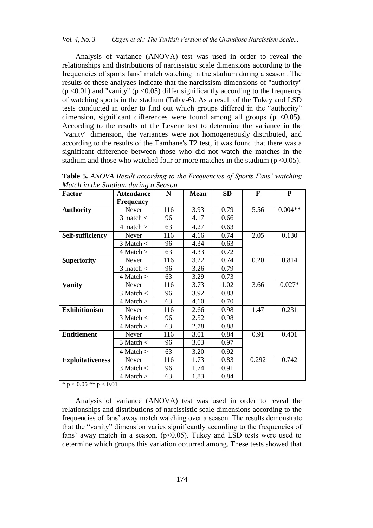Analysis of variance (ANOVA) test was used in order to reveal the relationships and distributions of narcissistic scale dimensions according to the frequencies of sports fans' match watching in the stadium during a season. The results of these analyzes indicate that the narcissism dimensions of "authority" ( $p$  <0.01) and "vanity" ( $p$  <0.05) differ significantly according to the frequency of watching sports in the stadium (Table-6). As a result of the Tukey and LSD tests conducted in order to find out which groups differed in the "authority" dimension, significant differences were found among all groups ( $p \le 0.05$ ). According to the results of the Levene test to determine the variance in the "vanity" dimension, the variances were not homogeneously distributed, and according to the results of the Tamhane's T2 test, it was found that there was a significant difference between those who did not watch the matches in the stadium and those who watched four or more matches in the stadium ( $p \le 0.05$ ).

**Table 5.** *ANOVA Result according to the Frequencies of Sports Fans' watching Match in the Stadium during a Season*

| <b>Factor</b>           | <b>Attendance</b> | N   | <b>Mean</b> | <b>SD</b> | F     | ${\bf P}$ |
|-------------------------|-------------------|-----|-------------|-----------|-------|-----------|
|                         | <b>Frequency</b>  |     |             |           |       |           |
| <b>Authority</b>        | Never             | 116 | 3.93        | 0.79      | 5.56  | $0.004**$ |
|                         | $3$ match $<$     | 96  | 4.17        | 0.66      |       |           |
|                         | 4 match $>$       | 63  | 4.27        | 0.63      |       |           |
| <b>Self-sufficiency</b> | Never             | 116 | 4.16        | 0.74      | 2.05  | 0.130     |
|                         | $3$ Match $\lt$   | 96  | 4.34        | 0.63      |       |           |
|                         | $4$ Match $>$     | 63  | 4.33        | 0.72      |       |           |
| <b>Superiority</b>      | Never             | 116 | 3.22        | 0.74      | 0.20  | 0.814     |
|                         | $3$ match $<$     | 96  | 3.26        | 0.79      |       |           |
|                         | $4$ Match $>$     | 63  | 3.29        | 0.73      |       |           |
| <b>Vanity</b>           | Never             | 116 | 3.73        | 1.02      | 3.66  | $0.027*$  |
|                         | $3$ Match $\lt$   | 96  | 3.92        | 0.83      |       |           |
|                         | $4$ Match $>$     | 63  | 4.10        | 0,70      |       |           |
| <b>Exhibitionism</b>    | Never             | 116 | 2.66        | 0.98      | 1.47  | 0.231     |
|                         | $3$ Match $\lt$   | 96  | 2.52        | 0.98      |       |           |
|                         | 4 Match >         | 63  | 2.78        | 0.88      |       |           |
| <b>Entitlement</b>      | Never             | 116 | 3.01        | 0.84      | 0.91  | 0.401     |
|                         | $3$ Match $\lt$   | 96  | 3.03        | 0.97      |       |           |
|                         | 4 Match >         | 63  | 3.20        | 0.92      |       |           |
| <b>Exploitativeness</b> | Never             | 116 | 1.73        | 0.83      | 0.292 | 0.742     |
|                         | $3$ Match $\lt$   | 96  | 1.74        | 0.91      |       |           |
|                         | $4$ Match $>$     | 63  | 1.83        | 0.84      |       |           |

\*  $p < 0.05$  \*\*  $p < 0.01$ 

Analysis of variance (ANOVA) test was used in order to reveal the relationships and distributions of narcissistic scale dimensions according to the frequencies of fans' away match watching over a season. The results demonstrate that the "vanity" dimension varies significantly according to the frequencies of fans' away match in a season.  $(p<0.05)$ . Tukey and LSD tests were used to determine which groups this variation occurred among. These tests showed that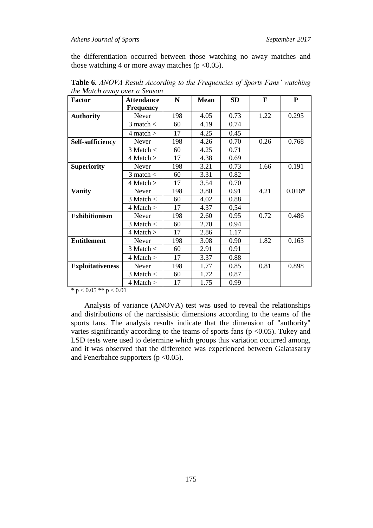## *Athens Journal of Sports September 2017*

the differentiation occurred between those watching no away matches and those watching 4 or more away matches ( $p < 0.05$ ).

| Factor                  | <b>Attendance</b> | N   | <b>Mean</b> | <b>SD</b> | F    | ${\bf P}$ |
|-------------------------|-------------------|-----|-------------|-----------|------|-----------|
|                         | <b>Frequency</b>  |     |             |           |      |           |
| <b>Authority</b>        | Never             | 198 | 4.05        | 0.73      | 1.22 | 0.295     |
|                         | $3$ match $<$     | 60  | 4.19        | 0.74      |      |           |
|                         | $4$ match $>$     | 17  | 4.25        | 0.45      |      |           |
| <b>Self-sufficiency</b> | Never             | 198 | 4.26        | 0.70      | 0.26 | 0.768     |
|                         | $3$ Match $\lt$   | 60  | 4.25        | 0.71      |      |           |
|                         | 4 Match >         | 17  | 4.38        | 0.69      |      |           |
| <b>Superiority</b>      | Never             | 198 | 3.21        | 0.73      | 1.66 | 0.191     |
|                         | 3 match $<$       | 60  | 3.31        | 0.82      |      |           |
|                         | $4$ Match $>$     | 17  | 3.54        | 0.70      |      |           |
| <b>Vanity</b>           | Never             | 198 | 3.80        | 0.91      | 4.21 | $0.016*$  |
|                         | $3$ Match $\lt$   | 60  | 4.02        | 0.88      |      |           |
|                         | 4 Match >         | 17  | 4.37        | 0,54      |      |           |
| <b>Exhibitionism</b>    | Never             | 198 | 2.60        | 0.95      | 0.72 | 0.486     |
|                         | $3$ Match $\lt$   | 60  | 2.70        | 0.94      |      |           |
|                         | $4$ Match $>$     | 17  | 2.86        | 1.17      |      |           |
| <b>Entitlement</b>      | Never             | 198 | 3.08        | 0.90      | 1.82 | 0.163     |
|                         | 3 Match $<$       | 60  | 2.91        | 0.91      |      |           |
|                         | $4$ Match $>$     | 17  | 3.37        | 0.88      |      |           |
| <b>Exploitativeness</b> | Never             | 198 | 1.77        | 0.85      | 0.81 | 0.898     |
|                         | 3 Match $<$       | 60  | 1.72        | 0.87      |      |           |
|                         | $4$ Match $>$     | 17  | 1.75        | 0.99      |      |           |

**Table 6.** *ANOVA Result According to the Frequencies of Sports Fans' watching the Match away over a Season*

\*  $p < 0.05$  \*\*  $p < 0.01$ 

Analysis of variance (ANOVA) test was used to reveal the relationships and distributions of the narcissistic dimensions according to the teams of the sports fans. The analysis results indicate that the dimension of "authority" varies significantly according to the teams of sports fans  $(p < 0.05)$ . Tukey and LSD tests were used to determine which groups this variation occurred among, and it was observed that the difference was experienced between Galatasaray and Fenerbahce supporters  $(p < 0.05)$ .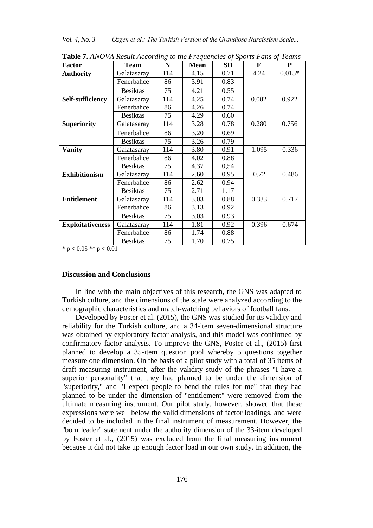*Vol. 4, No. 3 Özgen et al.: The Turkish Version of the Grandiose Narcissism Scale...*

| <b>Factor</b>           | <b>Team</b>     | ○<br>N | <b>Mean</b> | <b>SD</b> | F     | ${\bf P}$ |
|-------------------------|-----------------|--------|-------------|-----------|-------|-----------|
| <b>Authority</b>        | Galatasaray     | 114    | 4.15        | 0.71      | 4.24  | $0.015*$  |
|                         | Fenerbahce      | 86     | 3.91        | 0.83      |       |           |
|                         | <b>Besiktas</b> | 75     | 4.21        | 0.55      |       |           |
| <b>Self-sufficiency</b> | Galatasaray     | 114    | 4.25        | 0.74      | 0.082 | 0.922     |
|                         | Fenerbahce      | 86     | 4.26        | 0.74      |       |           |
|                         | <b>Besiktas</b> | 75     | 4.29        | 0.60      |       |           |
| <b>Superiority</b>      | Galatasaray     | 114    | 3.28        | 0.78      | 0.280 | 0.756     |
|                         | Fenerbahce      | 86     | 3.20        | 0.69      |       |           |
|                         | <b>Besiktas</b> | 75     | 3.26        | 0.79      |       |           |
| <b>Vanity</b>           | Galatasaray     | 114    | 3.80        | 0.91      | 1.095 | 0.336     |
|                         | Fenerbahce      | 86     | 4.02        | 0.88      |       |           |
|                         | <b>Besiktas</b> | 75     | 4.37        | 0,54      |       |           |
| <b>Exhibitionism</b>    | Galatasaray     | 114    | 2.60        | 0.95      | 0.72  | 0.486     |
|                         | Fenerbahce      | 86     | 2.62        | 0.94      |       |           |
|                         | <b>Besiktas</b> | 75     | 2.71        | 1.17      |       |           |
| <b>Entitlement</b>      | Galatasaray     | 114    | 3.03        | 0.88      | 0.333 | 0.717     |
|                         | Fenerbahce      | 86     | 3.13        | 0.92      |       |           |
|                         | <b>Besiktas</b> | 75     | 3.03        | 0.93      |       |           |
| <b>Exploitativeness</b> | Galatasaray     | 114    | 1.81        | 0.92      | 0.396 | 0.674     |
|                         | Fenerbahce      | 86     | 1.74        | 0.88      |       |           |
|                         | <b>Besiktas</b> | 75     | 1.70        | 0.75      |       |           |

**Table 7.** *ANOVA Result According to the Frequencies of Sports Fans of Teams*

\*  $p < 0.05$  \*\*  $p < 0.01$ 

## **Discussion and Conclusions**

In line with the main objectives of this research, the GNS was adapted to Turkish culture, and the dimensions of the scale were analyzed according to the demographic characteristics and match-watching behaviors of football fans.

Developed by Foster et al. (2015), the GNS was studied for its validity and reliability for the Turkish culture, and a 34-item seven-dimensional structure was obtained by exploratory factor analysis, and this model was confirmed by confirmatory factor analysis. To improve the GNS, Foster et al., (2015) first planned to develop a 35-item question pool whereby 5 questions together measure one dimension. On the basis of a pilot study with a total of 35 items of draft measuring instrument, after the validity study of the phrases "I have a superior personality" that they had planned to be under the dimension of "superiority," and "I expect people to bend the rules for me" that they had planned to be under the dimension of "entitlement" were removed from the ultimate measuring instrument. Our pilot study, however, showed that these expressions were well below the valid dimensions of factor loadings, and were decided to be included in the final instrument of measurement. However, the "born leader" statement under the authority dimension of the 33-item developed by Foster et al., (2015) was excluded from the final measuring instrument because it did not take up enough factor load in our own study. In addition, the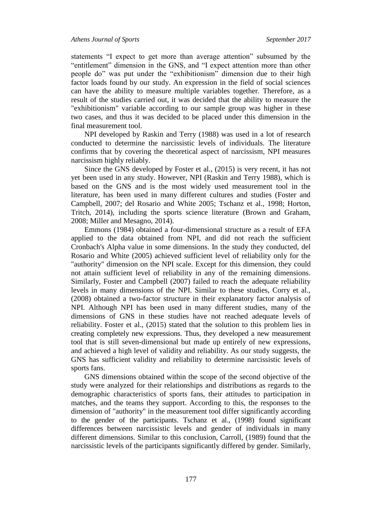statements "I expect to get more than average attention" subsumed by the "entitlement" dimension in the GNS, and "I expect attention more than other people do" was put under the "exhibitionism" dimension due to their high factor loads found by our study. An expression in the field of social sciences can have the ability to measure multiple variables together. Therefore, as a result of the studies carried out, it was decided that the ability to measure the "exhibitionism" variable according to our sample group was higher in these two cases, and thus it was decided to be placed under this dimension in the final measurement tool.

NPI developed by Raskin and Terry (1988) was used in a lot of research conducted to determine the narcissistic levels of individuals. The literature confirms that by covering the theoretical aspect of narcissism, NPI measures narcissism highly reliably.

Since the GNS developed by Foster et al., (2015) is very recent, it has not yet been used in any study. However, NPI (Raskin and Terry 1988), which is based on the GNS and is the most widely used measurement tool in the literature, has been used in many different cultures and studies (Foster and Campbell, 2007; del Rosario and White 2005; Tschanz et al., 1998; Horton, Tritch, 2014), including the sports science literature (Brown and Graham, 2008; Miller and Mesagno, 2014).

Emmons (1984) obtained a four-dimensional structure as a result of EFA applied to the data obtained from NPI, and did not reach the sufficient Cronbach's Alpha value in some dimensions. In the study they conducted, del Rosario and White (2005) achieved sufficient level of reliability only for the "authority" dimension on the NPI scale. Except for this dimension, they could not attain sufficient level of reliability in any of the remaining dimensions. Similarly, Foster and Campbell (2007) failed to reach the adequate reliability levels in many dimensions of the NPI. Similar to these studies, Corry et al., (2008) obtained a two-factor structure in their explanatory factor analysis of NPI. Although NPI has been used in many different studies, many of the dimensions of GNS in these studies have not reached adequate levels of reliability. Foster et al., (2015) stated that the solution to this problem lies in creating completely new expressions. Thus, they developed a new measurement tool that is still seven-dimensional but made up entirely of new expressions, and achieved a high level of validity and reliability. As our study suggests, the GNS has sufficient validity and reliability to determine narcissistic levels of sports fans.

GNS dimensions obtained within the scope of the second objective of the study were analyzed for their relationships and distributions as regards to the demographic characteristics of sports fans, their attitudes to participation in matches, and the teams they support. According to this, the responses to the dimension of "authority" in the measurement tool differ significantly according to the gender of the participants. Tschanz et al., (1998) found significant differences between narcissistic levels and gender of individuals in many different dimensions. Similar to this conclusion, Carroll, (1989) found that the narcissistic levels of the participants significantly differed by gender. Similarly,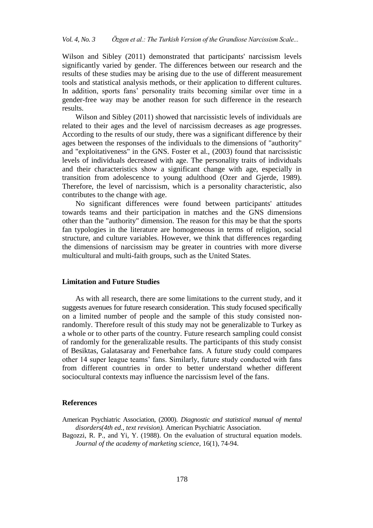Wilson and Sibley (2011) demonstrated that participants' narcissism levels significantly varied by gender. The differences between our research and the results of these studies may be arising due to the use of different measurement tools and statistical analysis methods, or their application to different cultures. In addition, sports fans' personality traits becoming similar over time in a gender-free way may be another reason for such difference in the research results.

Wilson and Sibley (2011) showed that narcissistic levels of individuals are related to their ages and the level of narcissism decreases as age progresses. According to the results of our study, there was a significant difference by their ages between the responses of the individuals to the dimensions of "authority" and "exploitativeness" in the GNS. Foster et al., (2003) found that narcissistic levels of individuals decreased with age. The personality traits of individuals and their characteristics show a significant change with age, especially in transition from adolescence to young adulthood (Ozer and Gjerde, 1989). Therefore, the level of narcissism, which is a personality characteristic, also contributes to the change with age.

No significant differences were found between participants' attitudes towards teams and their participation in matches and the GNS dimensions other than the "authority" dimension. The reason for this may be that the sports fan typologies in the literature are homogeneous in terms of religion, social structure, and culture variables. However, we think that differences regarding the dimensions of narcissism may be greater in countries with more diverse multicultural and multi-faith groups, such as the United States.

## **Limitation and Future Studies**

As with all research, there are some limitations to the current study, and it suggests avenues for future research consideration. This study focused specifically on a limited number of people and the sample of this study consisted nonrandomly. Therefore result of this study may not be generalizable to Turkey as a whole or to other parts of the country. Future research sampling could consist of randomly for the generalizable results. The participants of this study consist of Besiktas, Galatasaray and Fenerbahce fans. A future study could compares other 14 super league teams' fans. Similarly, future study conducted with fans from different countries in order to better understand whether different sociocultural contexts may influence the narcissism level of the fans.

#### **References**

American Psychiatric Association, (2000). *Diagnostic and statistical manual of mental disorders(4th ed., text revision).* American Psychiatric Association.

Bagozzi, R. P., and Yi, Y. (1988). On the evaluation of structural equation models. *Journal of the academy of marketing science*, 16(1), 74-94.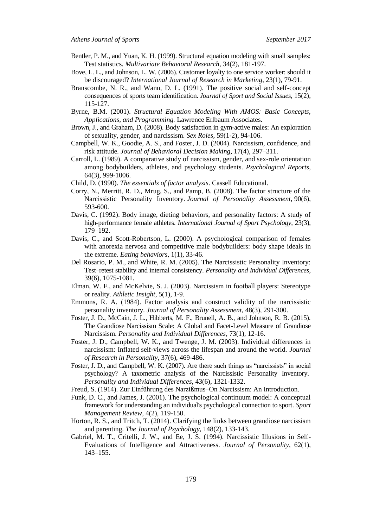- Bentler, P. M., and Yuan, K. H. (1999). Structural equation modeling with small samples: Test statistics. *Multivariate Behavioral Research*, 34(2), 181-197.
- Bove, L. L., and Johnson, L. W. (2006). Customer loyalty to one service worker: should it be discouraged? *International Journal of Research in Marketing*, 23(1), 79-91.
- Branscombe, N. R., and Wann, D. L. (1991). The positive social and self-concept consequences of sports team identification. *Journal of Sport and Social Issues*, 15(2), 115-127.
- Byrne, B.M. (2001). *Structural Equation Modeling With AMOS: Basic Concepts, Applications, and Programming.* Lawrence Erlbaum Associates.
- Brown, J., and Graham, D. (2008). Body satisfaction in gym-active males: An exploration of sexuality, gender, and narcissism. *Sex Roles*, 59(1-2), 94-106.
- Campbell, W. K., Goodie, A. S., and Foster, J. D. (2004). Narcissism, confidence, and risk attitude. *Journal of Behavioral Decision Making*, 17(4), 297–311.
- Carroll, L. (1989). A comparative study of narcissism, gender, and sex-role orientation among bodybuilders, athletes, and psychology students. *Psychological Reports*, 64(3), 999-1006.
- Child, D. (1990). *The essentials of factor analysis*. Cassell Educational.
- Corry, N., Merritt, R. D., Mrug, S., and Pamp, B. (2008). The factor structure of the Narcissistic Personality Inventory. *Journal of Personality Assessment*, 90(6), 593-600.
- Davis, C. (1992). Body image, dieting behaviors, and personality factors: A study of high-performance female athletes. *International Journal of Sport Psychology*, 23(3), 179–192.
- Davis, C., and Scott-Robertson, L. (2000). A psychological comparison of females with anorexia nervosa and competitive male bodybuilders: body shape ideals in the extreme. *Eating behaviors*, 1(1), 33-46.
- Del Rosario, P. M., and White, R. M. (2005). The Narcissistic Personality Inventory: Test–retest stability and internal consistency. *Personality and Individual Differences*, 39(6), 1075-1081.
- Elman, W. F., and McKelvie, S. J. (2003). Narcissism in football players: Stereotype or reality. *Athletic Insight*, 5(1), 1-9.
- Emmons, R. A. (1984). Factor analysis and construct validity of the narcissistic personality inventory. *Journal of Personality Assessment*, 48(3), 291-300.
- Foster, J. D., McCain, J. L., Hibberts, M. F., Brunell, A. B., and Johnson, R. B. (2015). The Grandiose Narcissism Scale: A Global and Facet-Level Measure of Grandiose Narcissism. *Personality and Individual Differences*, 73(1), 12-16.
- Foster, J. D., Campbell, W. K., and Twenge, J. M. (2003). Individual differences in narcissism: Inflated self-views across the lifespan and around the world. *Journal of Research in Personality*, 37(6), 469-486.
- Foster, J. D., and Campbell, W. K. (2007). Are there such things as "narcissists" in social psychology? A taxometric analysis of the Narcissistic Personality Inventory. *Personality and Individual Differences*, 43(6), 1321-1332.
- Freud, S. (1914). Zur Einführung des Narzißmus–On Narcissism: An Introduction.
- Funk, D. C., and James, J. (2001). The psychological continuum model: A conceptual framework for understanding an individual's psychological connection to sport. *Sport Management Review*, 4(2), 119-150.
- Horton, R. S., and Tritch, T. (2014). Clarifying the links between grandiose narcissism and parenting. *The Journal of Psychology*, 148(2), 133-143.
- Gabriel, M. T., Critelli, J. W., and Ee, J. S. (1994). Narcissistic Illusions in Self-Evaluations of Intelligence and Attractiveness. *Journal of Personality*, 62(1), 143–155.